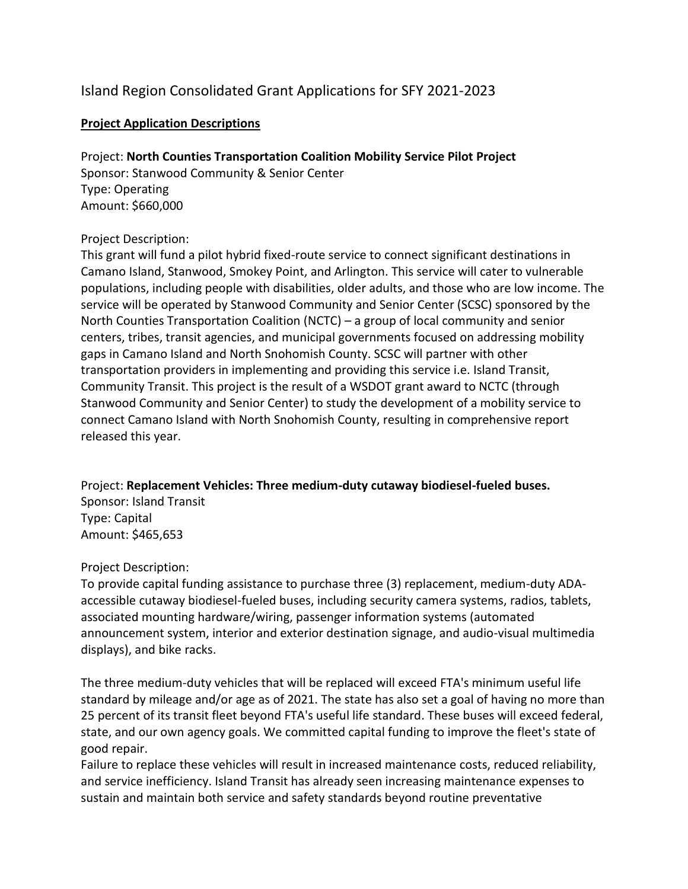# Island Region Consolidated Grant Applications for SFY 2021-2023

## **Project Application Descriptions**

Project: **North Counties Transportation Coalition Mobility Service Pilot Project** Sponsor: Stanwood Community & Senior Center Type: Operating Amount: \$660,000

### Project Description:

This grant will fund a pilot hybrid fixed-route service to connect significant destinations in Camano Island, Stanwood, Smokey Point, and Arlington. This service will cater to vulnerable populations, including people with disabilities, older adults, and those who are low income. The service will be operated by Stanwood Community and Senior Center (SCSC) sponsored by the North Counties Transportation Coalition (NCTC) – a group of local community and senior centers, tribes, transit agencies, and municipal governments focused on addressing mobility gaps in Camano Island and North Snohomish County. SCSC will partner with other transportation providers in implementing and providing this service i.e. Island Transit, Community Transit. This project is the result of a WSDOT grant award to NCTC (through Stanwood Community and Senior Center) to study the development of a mobility service to connect Camano Island with North Snohomish County, resulting in comprehensive report released this year.

Project: **Replacement Vehicles: Three medium-duty cutaway biodiesel-fueled buses.** Sponsor: Island Transit Type: Capital Amount: \$465,653

### Project Description:

To provide capital funding assistance to purchase three (3) replacement, medium-duty ADAaccessible cutaway biodiesel-fueled buses, including security camera systems, radios, tablets, associated mounting hardware/wiring, passenger information systems (automated announcement system, interior and exterior destination signage, and audio-visual multimedia displays), and bike racks.

The three medium-duty vehicles that will be replaced will exceed FTA's minimum useful life standard by mileage and/or age as of 2021. The state has also set a goal of having no more than 25 percent of its transit fleet beyond FTA's useful life standard. These buses will exceed federal, state, and our own agency goals. We committed capital funding to improve the fleet's state of good repair.

Failure to replace these vehicles will result in increased maintenance costs, reduced reliability, and service inefficiency. Island Transit has already seen increasing maintenance expenses to sustain and maintain both service and safety standards beyond routine preventative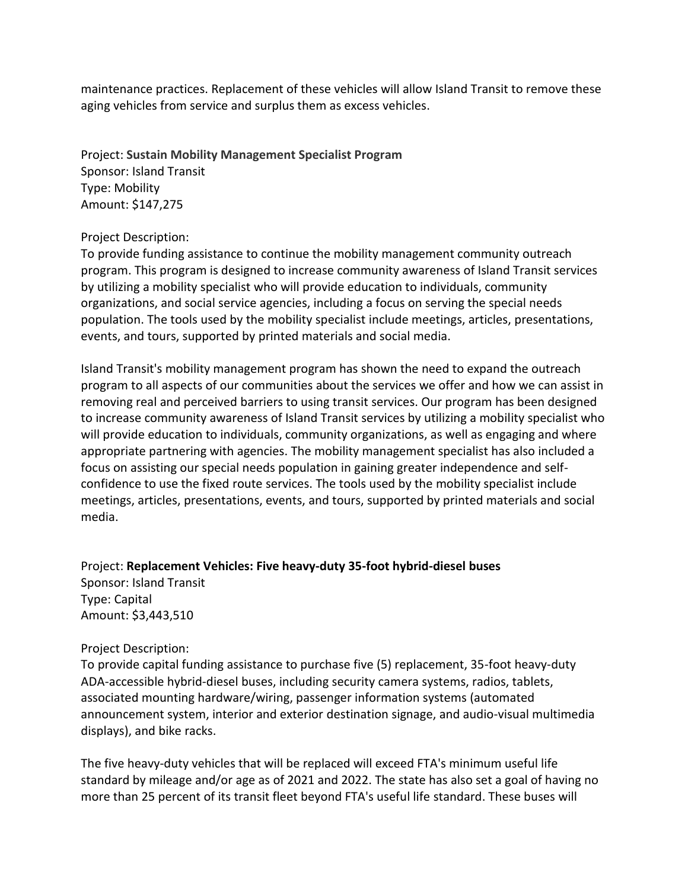maintenance practices. Replacement of these vehicles will allow Island Transit to remove these aging vehicles from service and surplus them as excess vehicles.

Project: **Sustain Mobility Management Specialist Program** Sponsor: Island Transit Type: Mobility Amount: \$147,275

#### Project Description:

To provide funding assistance to continue the mobility management community outreach program. This program is designed to increase community awareness of Island Transit services by utilizing a mobility specialist who will provide education to individuals, community organizations, and social service agencies, including a focus on serving the special needs population. The tools used by the mobility specialist include meetings, articles, presentations, events, and tours, supported by printed materials and social media.

Island Transit's mobility management program has shown the need to expand the outreach program to all aspects of our communities about the services we offer and how we can assist in removing real and perceived barriers to using transit services. Our program has been designed to increase community awareness of Island Transit services by utilizing a mobility specialist who will provide education to individuals, community organizations, as well as engaging and where appropriate partnering with agencies. The mobility management specialist has also included a focus on assisting our special needs population in gaining greater independence and selfconfidence to use the fixed route services. The tools used by the mobility specialist include meetings, articles, presentations, events, and tours, supported by printed materials and social media.

Project: **Replacement Vehicles: Five heavy-duty 35-foot hybrid-diesel buses** Sponsor: Island Transit Type: Capital Amount: \$3,443,510

#### Project Description:

To provide capital funding assistance to purchase five (5) replacement, 35-foot heavy-duty ADA-accessible hybrid-diesel buses, including security camera systems, radios, tablets, associated mounting hardware/wiring, passenger information systems (automated announcement system, interior and exterior destination signage, and audio-visual multimedia displays), and bike racks.

The five heavy-duty vehicles that will be replaced will exceed FTA's minimum useful life standard by mileage and/or age as of 2021 and 2022. The state has also set a goal of having no more than 25 percent of its transit fleet beyond FTA's useful life standard. These buses will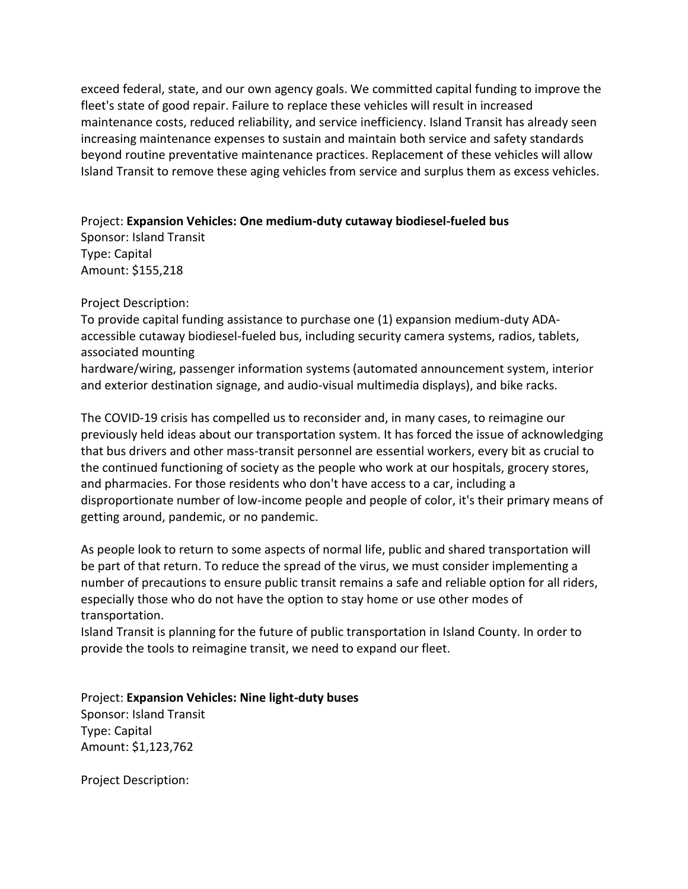exceed federal, state, and our own agency goals. We committed capital funding to improve the fleet's state of good repair. Failure to replace these vehicles will result in increased maintenance costs, reduced reliability, and service inefficiency. Island Transit has already seen increasing maintenance expenses to sustain and maintain both service and safety standards beyond routine preventative maintenance practices. Replacement of these vehicles will allow Island Transit to remove these aging vehicles from service and surplus them as excess vehicles.

Project: **Expansion Vehicles: One medium-duty cutaway biodiesel-fueled bus**

Sponsor: Island Transit Type: Capital Amount: \$155,218

Project Description:

To provide capital funding assistance to purchase one (1) expansion medium-duty ADAaccessible cutaway biodiesel-fueled bus, including security camera systems, radios, tablets, associated mounting

hardware/wiring, passenger information systems (automated announcement system, interior and exterior destination signage, and audio-visual multimedia displays), and bike racks.

The COVID-19 crisis has compelled us to reconsider and, in many cases, to reimagine our previously held ideas about our transportation system. It has forced the issue of acknowledging that bus drivers and other mass-transit personnel are essential workers, every bit as crucial to the continued functioning of society as the people who work at our hospitals, grocery stores, and pharmacies. For those residents who don't have access to a car, including a disproportionate number of low-income people and people of color, it's their primary means of getting around, pandemic, or no pandemic.

As people look to return to some aspects of normal life, public and shared transportation will be part of that return. To reduce the spread of the virus, we must consider implementing a number of precautions to ensure public transit remains a safe and reliable option for all riders, especially those who do not have the option to stay home or use other modes of transportation.

Island Transit is planning for the future of public transportation in Island County. In order to provide the tools to reimagine transit, we need to expand our fleet.

Project: **Expansion Vehicles: Nine light-duty buses** Sponsor: Island Transit Type: Capital Amount: \$1,123,762

Project Description: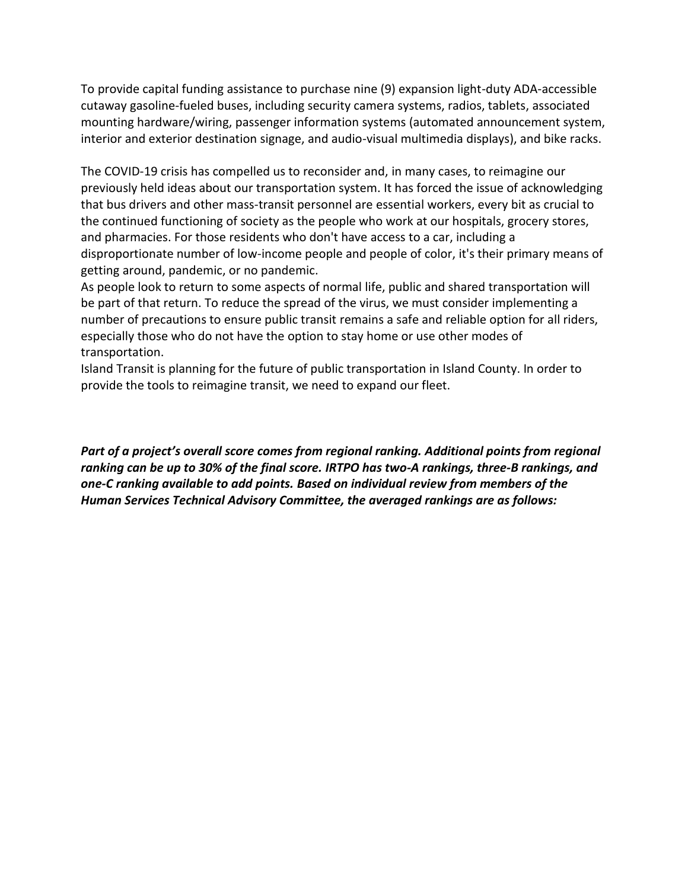To provide capital funding assistance to purchase nine (9) expansion light-duty ADA-accessible cutaway gasoline-fueled buses, including security camera systems, radios, tablets, associated mounting hardware/wiring, passenger information systems (automated announcement system, interior and exterior destination signage, and audio-visual multimedia displays), and bike racks.

The COVID-19 crisis has compelled us to reconsider and, in many cases, to reimagine our previously held ideas about our transportation system. It has forced the issue of acknowledging that bus drivers and other mass-transit personnel are essential workers, every bit as crucial to the continued functioning of society as the people who work at our hospitals, grocery stores, and pharmacies. For those residents who don't have access to a car, including a disproportionate number of low-income people and people of color, it's their primary means of getting around, pandemic, or no pandemic.

As people look to return to some aspects of normal life, public and shared transportation will be part of that return. To reduce the spread of the virus, we must consider implementing a number of precautions to ensure public transit remains a safe and reliable option for all riders, especially those who do not have the option to stay home or use other modes of transportation.

Island Transit is planning for the future of public transportation in Island County. In order to provide the tools to reimagine transit, we need to expand our fleet.

*Part of a project's overall score comes from regional ranking. Additional points from regional ranking can be up to 30% of the final score. IRTPO has two-A rankings, three-B rankings, and one-C ranking available to add points. Based on individual review from members of the Human Services Technical Advisory Committee, the averaged rankings are as follows:*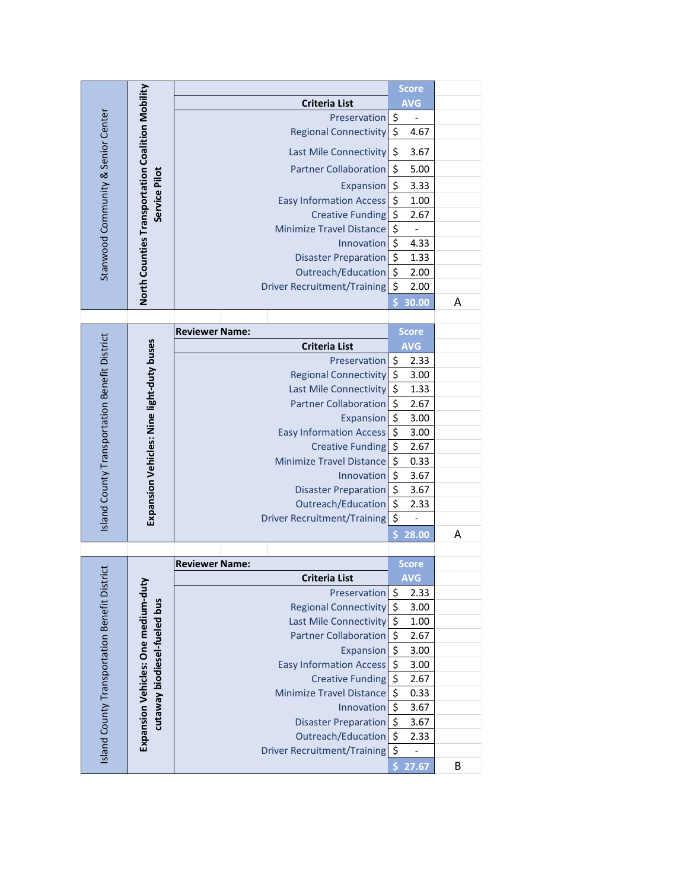|                                           | North Counties Transportation Coalition Mobility<br>Service Pilot             |                                                   |                              |          | <b>Score</b>             |   |
|-------------------------------------------|-------------------------------------------------------------------------------|---------------------------------------------------|------------------------------|----------|--------------------------|---|
|                                           |                                                                               | <b>Criteria List</b>                              |                              |          | <b>AVG</b>               |   |
|                                           |                                                                               |                                                   | Preservation                 | \$       |                          |   |
|                                           |                                                                               | <b>Regional Connectivity</b>                      |                              | $\zeta$  | 4.67                     |   |
| Stanwood Community & Senior Center        |                                                                               | Last Mile Connectivity                            |                              | \$       | 3.67                     |   |
|                                           |                                                                               | <b>Partner Collaboration</b>                      |                              | \$       | 5.00                     |   |
|                                           |                                                                               | Expansion                                         |                              | \$       | 3.33                     |   |
|                                           |                                                                               | <b>Easy Information Access</b>                    |                              | \$       | 1.00                     |   |
|                                           |                                                                               | <b>Creative Funding</b>                           |                              | \$       | 2.67                     |   |
|                                           |                                                                               | <b>Minimize Travel Distance</b>                   |                              | \$       | $\qquad \qquad -$        |   |
|                                           |                                                                               | Innovation                                        |                              | \$       | 4.33                     |   |
|                                           |                                                                               | <b>Disaster Preparation</b>                       |                              | \$       | 1.33                     |   |
|                                           |                                                                               |                                                   | Outreach/Education           | \$       | 2.00                     |   |
|                                           |                                                                               | <b>Driver Recruitment/Training</b>                |                              | \$       | 2.00                     |   |
|                                           |                                                                               |                                                   |                              |          | 30.00                    | Α |
|                                           |                                                                               | <b>Reviewer Name:</b>                             |                              |          | Score                    |   |
|                                           |                                                                               | <b>Criteria List</b>                              |                              |          | <b>AVG</b>               |   |
|                                           |                                                                               |                                                   | Preservation                 | \$       | 2.33                     |   |
|                                           |                                                                               |                                                   | <b>Regional Connectivity</b> | $\zeta$  | 3.00                     |   |
|                                           |                                                                               |                                                   | Last Mile Connectivity       | \$       | 1.33                     |   |
|                                           | Island County Transportation Benefit District<br><b>Partner Collaboration</b> |                                                   |                              | \$       | 2.67                     |   |
|                                           |                                                                               |                                                   | Expansion                    | \$       | 3.00                     |   |
|                                           | Expansion Vehicles: Nine light-duty buses                                     | <b>Easy Information Access</b>                    |                              | \$       | 3.00                     |   |
|                                           |                                                                               | <b>Creative Funding</b>                           |                              | \$       | 2.67                     |   |
|                                           |                                                                               | <b>Minimize Travel Distance</b>                   |                              | \$       | 0.33                     |   |
|                                           |                                                                               | Innovation                                        |                              | \$       | 3.67                     |   |
|                                           |                                                                               |                                                   | <b>Disaster Preparation</b>  | \$       | 3.67                     |   |
|                                           |                                                                               |                                                   | Outreach/Education           | \$       | 2.33                     |   |
|                                           |                                                                               | Driver Recruitment/Training                       |                              | \$       | $\overline{\phantom{0}}$ |   |
|                                           |                                                                               |                                                   |                              | \$       | 28.00                    | Α |
| trict                                     |                                                                               | <b>Reviewer Name:</b>                             |                              |          | Score                    |   |
|                                           |                                                                               | <b>Criteria List</b>                              |                              |          | <b>AVG</b>               |   |
|                                           |                                                                               |                                                   | Preservation                 | \$       | 2.33                     |   |
|                                           |                                                                               |                                                   | <b>Regional Connectivity</b> | \$       | 3.00                     |   |
|                                           |                                                                               |                                                   | Last Mile Connectivity       | \$       | 1.00                     |   |
|                                           |                                                                               |                                                   | <b>Partner Collaboration</b> | \$       | 2.67                     |   |
|                                           | Expansion Vehicles: One medium-duty<br>cutaway biodiesel-fueled bus           |                                                   | <b>Expansion</b>             | \$       | 3.00                     |   |
|                                           |                                                                               | <b>Easy Information Access</b>                    |                              | \$       | 3.00                     |   |
|                                           |                                                                               |                                                   | <b>Creative Funding</b>      | \$       | 2.67                     |   |
|                                           |                                                                               | <b>Minimize Travel Distance</b>                   |                              | \$       | 0.33                     |   |
|                                           |                                                                               |                                                   | Innovation                   | \$<br>\$ | 3.67                     |   |
|                                           |                                                                               | <b>Disaster Preparation</b><br>Outreach/Education |                              | \$       | 3.67<br>2.33             |   |
| Island County Transportation Benefit Dist |                                                                               | <b>Driver Recruitment/Training</b>                |                              | \$       |                          |   |
|                                           |                                                                               |                                                   |                              | \$       | 27.67                    | B |
|                                           |                                                                               |                                                   |                              |          |                          |   |